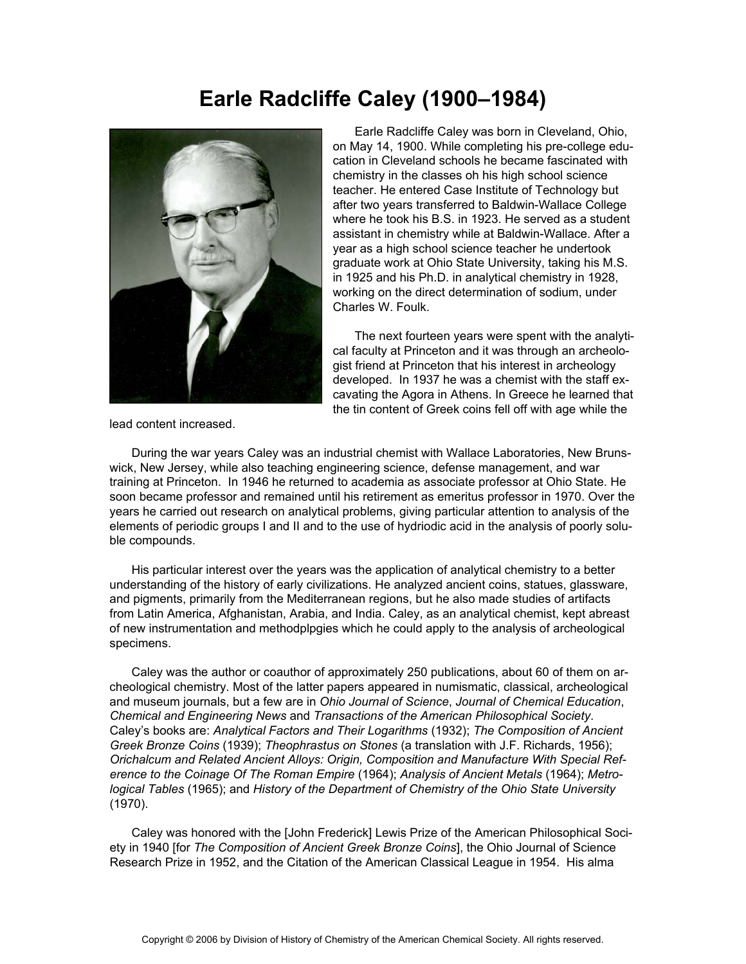## **Earle Radcliffe Caley (1900–1984)**



 Earle Radcliffe Caley was born in Cleveland, Ohio, on May 14, 1900. While completing his pre-college education in Cleveland schools he became fascinated with chemistry in the classes oh his high school science teacher. He entered Case Institute of Technology but after two years transferred to Baldwin-Wallace College where he took his B.S. in 1923. He served as a student assistant in chemistry while at Baldwin-Wallace. After a year as a high school science teacher he undertook graduate work at Ohio State University, taking his M.S. in 1925 and his Ph.D. in analytical chemistry in 1928, working on the direct determination of sodium, under Charles W. Foulk.

 The next fourteen years were spent with the analytical faculty at Princeton and it was through an archeologist friend at Princeton that his interest in archeology developed. In 1937 he was a chemist with the staff excavating the Agora in Athens. In Greece he learned that the tin content of Greek coins fell off with age while the

lead content increased.

 During the war years Caley was an industrial chemist with Wallace Laboratories, New Brunswick, New Jersey, while also teaching engineering science, defense management, and war training at Princeton. In 1946 he returned to academia as associate professor at Ohio State. He soon became professor and remained until his retirement as emeritus professor in 1970. Over the years he carried out research on analytical problems, giving particular attention to analysis of the elements of periodic groups I and II and to the use of hydriodic acid in the analysis of poorly soluble compounds.

 His particular interest over the years was the application of analytical chemistry to a better understanding of the history of early civilizations. He analyzed ancient coins, statues, glassware, and pigments, primarily from the Mediterranean regions, but he also made studies of artifacts from Latin America, Afghanistan, Arabia, and India. Caley, as an analytical chemist, kept abreast of new instrumentation and methodplpgies which he could apply to the analysis of archeological specimens.

 Caley was the author or coauthor of approximately 250 publications, about 60 of them on archeological chemistry. Most of the latter papers appeared in numismatic, classical, archeological and museum journals, but a few are in *Ohio Journal of Science*, *Journal of Chemical Education*, *Chemical and Engineering News* and *Transactions of the American Philosophical Society*. Caley's books are: *Analytical Factors and Their Logarithms* (1932); *The Composition of Ancient Greek Bronze Coins* (1939); *Theophrastus on Stones* (a translation with J.F. Richards, 1956); *Orichalcum and Related Ancient Alloys: Origin, Composition and Manufacture With Special Reference to the Coinage Of The Roman Empire* (1964); *Analysis of Ancient Metals* (1964); *Metrological Tables* (1965); and *History of the Department of Chemistry of the Ohio State University* (1970).

 Caley was honored with the [John Frederick] Lewis Prize of the American Philosophical Society in 1940 [for *The Composition of Ancient Greek Bronze Coins*], the Ohio Journal of Science Research Prize in 1952, and the Citation of the American Classical League in 1954. His alma